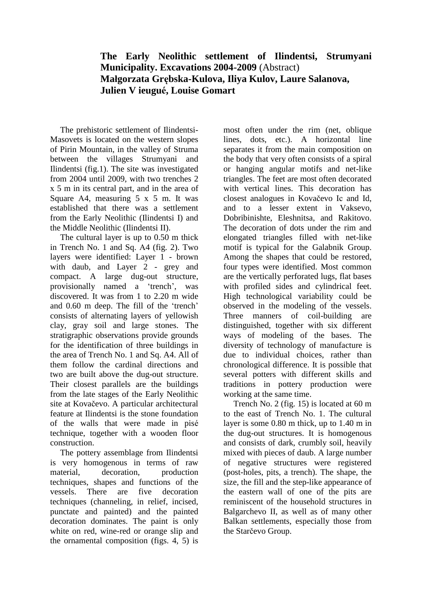## **The Early Neolithic settlement of Ilindentsi, Strumyani Municipality. Excavations 2004-2009** (Abstract) **Małgorzata Grębska-Kulova, Iliya Kulov, Laure Salanova, Julien V ieugué, Louise Gomart**

The prehistoric settlement of Ilindentsi-Masovets is located on the western slopes of Pirin Mountain, in the valley of Struma between the villages Strumyani and Ilindentsi (fig.1). The site was investigated from 2004 until 2009, with two trenches 2 х 5 m in its central part, and in the area of Square A4, measuring  $5 \times 5$  m. It was established that there was a settlement from the Early Neolithic (Ilindentsi I) and the Middle Neolithic (Ilindentsi II).

The cultural layer is up to 0.50 m thick in Trench No. 1 and Sq. А4 (fig. 2). Two layers were identified: Layer 1 - brown with daub, and Layer 2 - grey and compact. A large dug-out structure, provisionally named a 'trench', was discovered. It was from 1 to 2.20 m wide and 0.60 m deep. The fill of the 'trench' consists of alternating layers of yellowish clay, gray soil and large stones. The stratigraphic observations provide grounds for the identification of three buildings in the area of Trench No. 1 and Sq. A4. All of them follow the cardinal directions and two are built above the dug-out structure. Their closest parallels are the buildings from the late stages of the Early Neolithic site at Kovačevo. A particular architectural feature at Ilindentsi is the stone foundation of the walls that were made in pisé technique, together with a wooden floor construction.

The pottery assemblage from Ilindentsi is very homogenous in terms of raw material, decoration, production techniques, shapes and functions of the vessels. There are five decoration techniques (channeling, in relief, incised, punctate and painted) and the painted decoration dominates. The paint is only white on red, wine-red or orange slip and the ornamental composition (figs. 4, 5) is

most often under the rim (net, oblique lines, dots, etc.). A horizontal line separates it from the main composition on the body that very often consists of a spiral or hanging angular motifs and net-like triangles. The feet are most often decorated with vertical lines. This decoration has closest analogues in Kovačevo Iс and Id, and to a lesser extent in Vaksevo, Dobribinishte, Eleshnitsa, and Rakitovo. The decoration of dots under the rim and elongated triangles filled with net-like motif is typical for the Galabnik Group. Among the shapes that could be restored, four types were identified. Most common are the vertically perforated lugs, flat bases with profiled sides and cylindrical feet. High technological variability could be observed in the modeling of the vessels. Three manners of coil-building are distinguished, together with six different ways of modeling of the bases. The diversity of technology of manufacture is due to individual choices, rather than chronological difference. It is possible that several potters with different skills and traditions in pottery production were working at the same time.

Trench No. 2 (fig. 15) is located at 60 m to the east of Trench No. 1. The cultural layer is some 0.80 m thick, up to 1.40 m in the dug-out structures. It is homogenous and consists of dark, crumbly soil, heavily mixed with pieces of daub. A large number of negative structures were registered (post-holes, pits, a trench). The shape, the size, the fill and the step-like appearance of the eastern wall of one of the pits are reminiscent of the household structures in Balgarchevo II, as well as of many other Balkan settlements, especially those from the Starčevo Group.